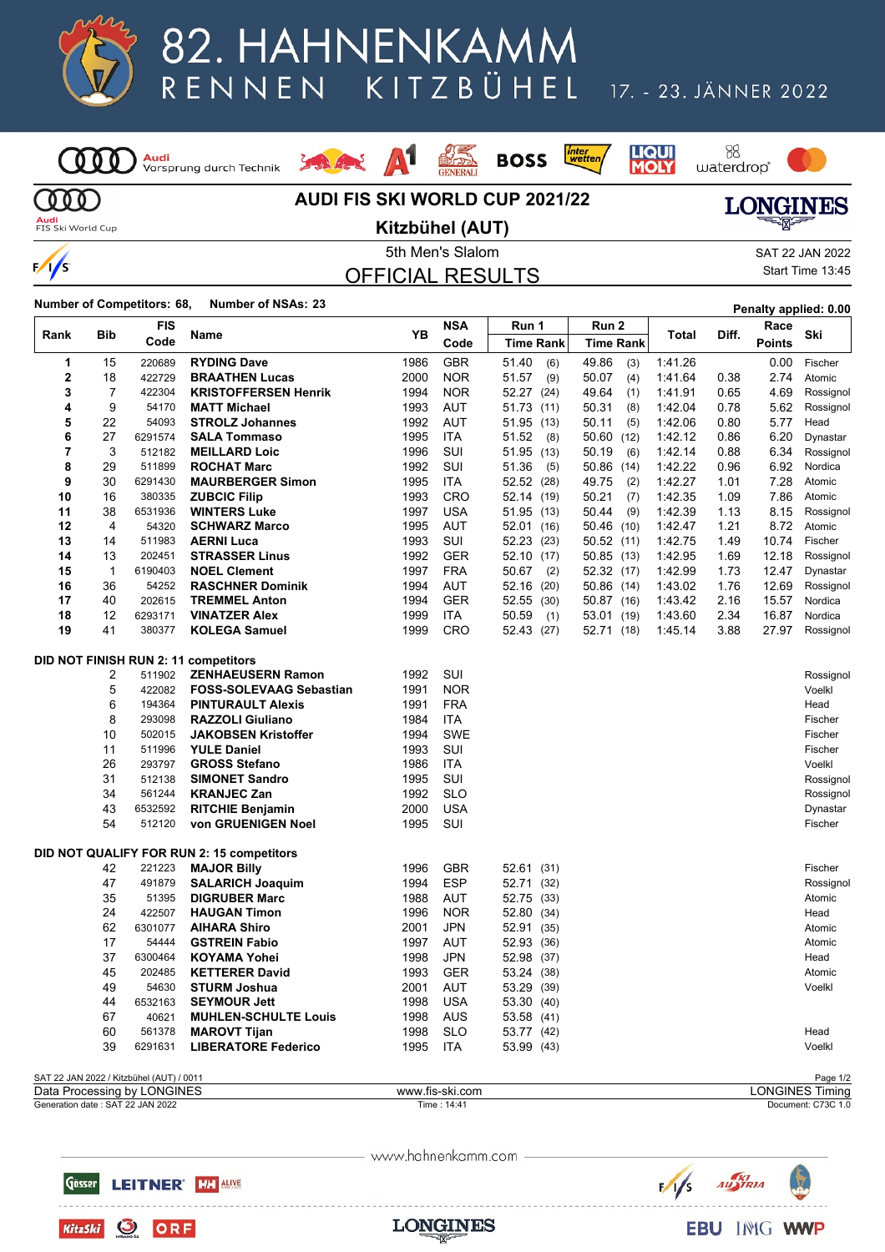

## 82. HAHNENKAMM KITZBÜHEL RENNEN

#### 17. - 23. JÄNNER 2022

B8<br>waterdrop®

**LIQUI**<br>**MOLY** 

*inter*<br>wetten

**BOSS** 

<mark>Audi</mark><br>Vorsprung durch Technik (000



A<sup>1</sup>

2 Stanley

93



 $000$ **Audi**<br>FIS Ski World Cup

 $\frac{1}{s}$ 

#### **Kitzbühel (AUT)**



OFFICIAL RESULTS

|  | Start Time 13:45 |
|--|------------------|
|  |                  |

**Number of Competitors: 68, Number of NSAs: <sup>23</sup> Penalty applied: 0.00**

| Rank | Bib         | FIS                                      | Name                                      | YΒ              | NSA        | Run 1            | Run 2            | Total   | Diff. | Race          | Ski                     |
|------|-------------|------------------------------------------|-------------------------------------------|-----------------|------------|------------------|------------------|---------|-------|---------------|-------------------------|
|      |             | Code                                     |                                           |                 | Code       | <b>Time Rank</b> | <b>Time Rank</b> |         |       | <b>Points</b> |                         |
| 1    | 15          | 220689                                   | <b>RYDING Dave</b>                        | 1986            | <b>GBR</b> | 51.40<br>(6)     | 49.86<br>(3)     | 1:41.26 |       | 0.00          | Fischer                 |
| 2    | 18          | 422729                                   | <b>BRAATHEN Lucas</b>                     | 2000            | <b>NOR</b> | 51.57<br>(9)     | 50.07<br>(4)     | 1:41.64 | 0.38  | 2.74          | Atomic                  |
| 3    | 7           | 422304                                   | <b>KRISTOFFERSEN Henrik</b>               | 1994            | <b>NOR</b> | 52.27 (24)       | 49.64<br>(1)     | 1:41.91 | 0.65  | 4.69          | Rossignol               |
| 4    | 9           | 54170                                    | <b>MATT Michael</b>                       | 1993            | <b>AUT</b> | 51.73 (11)       | 50.31<br>(8)     | 1:42.04 | 0.78  | 5.62          | Rossignol               |
| 5    | 22          | 54093                                    | <b>STROLZ Johannes</b>                    | 1992            | AUT        | 51.95 (13)       | 50.11<br>(5)     | 1:42.06 | 0.80  | 5.77          | Head                    |
| 6    | 27          | 6291574                                  | <b>SALA Tommaso</b>                       | 1995            | <b>ITA</b> | 51.52<br>(8)     | 50.60 (12)       | 1:42.12 | 0.86  | 6.20          | Dynastar                |
| 7    | 3           | 512182                                   | <b>MEILLARD Loic</b>                      | 1996            | SUI        | 51.95 (13)       | 50.19<br>(6)     | 1:42.14 | 0.88  | 6.34          | Rossignol               |
| 8    | 29          | 511899                                   | <b>ROCHAT Marc</b>                        | 1992            | SUI        | 51.36<br>(5)     | 50.86 (14)       | 1:42.22 | 0.96  | 6.92          | Nordica                 |
| 9    | 30          | 6291430                                  | <b>MAURBERGER Simon</b>                   | 1995            | <b>ITA</b> | 52.52 (28)       | 49.75<br>(2)     | 1:42.27 | 1.01  | 7.28          | Atomic                  |
| 10   | 16          | 380335                                   | <b>ZUBCIC Filip</b>                       | 1993            | <b>CRO</b> | 52.14 (19)       | 50.21<br>(7)     | 1:42.35 | 1.09  | 7.86          | Atomic                  |
| 11   | 38          | 6531936                                  | <b>WINTERS Luke</b>                       | 1997            | <b>USA</b> | 51.95 (13)       | 50.44<br>(9)     | 1:42.39 | 1.13  | 8.15          | Rossignol               |
| 12   | 4           | 54320                                    | <b>SCHWARZ Marco</b>                      | 1995            | <b>AUT</b> | 52.01 (16)       | (10)<br>50.46    | 1:42.47 | 1.21  | 8.72          | Atomic                  |
| 13   | 14          | 511983                                   | <b>AERNI Luca</b>                         | 1993            | <b>SUI</b> | 52.23 (23)       | 50.52 (11)       | 1:42.75 | 1.49  | 10.74         | Fischer                 |
| 14   | 13          | 202451                                   | <b>STRASSER Linus</b>                     | 1992            | <b>GER</b> | 52.10 (17)       | 50.85(13)        | 1:42.95 | 1.69  | 12.18         | Rossignol               |
| 15   | $\mathbf 1$ | 6190403                                  | <b>NOEL Clement</b>                       | 1997            | <b>FRA</b> | 50.67<br>(2)     | 52.32 (17)       | 1:42.99 | 1.73  | 12.47         | Dynastar                |
| 16   | 36          | 54252                                    | <b>RASCHNER Dominik</b>                   | 1994            | <b>AUT</b> | 52.16 (20)       | 50.86 (14)       | 1:43.02 | 1.76  | 12.69         | Rossignol               |
| 17   | 40          | 202615                                   | <b>TREMMEL Anton</b>                      | 1994            | <b>GER</b> | 52.55 (30)       | 50.87 (16)       | 1:43.42 | 2.16  | 15.57         | Nordica                 |
| 18   | 12          | 6293171                                  | <b>VINATZER Alex</b>                      | 1999            | <b>ITA</b> | 50.59<br>(1)     | 53.01 (19)       | 1:43.60 | 2.34  | 16.87         | Nordica                 |
| 19   | 41          | 380377                                   | <b>KOLEGA Samuel</b>                      | 1999            | <b>CRO</b> | 52.43 (27)       | 52.71 (18)       | 1:45.14 | 3.88  | 27.97         | Rossignol               |
|      |             |                                          |                                           |                 |            |                  |                  |         |       |               |                         |
|      |             |                                          | DID NOT FINISH RUN 2: 11 competitors      |                 |            |                  |                  |         |       |               |                         |
|      | 2           | 511902                                   | <b>ZENHAEUSERN Ramon</b>                  | 1992            | SUI        |                  |                  |         |       |               | Rossignol               |
|      | 5           | 422082                                   | <b>FOSS-SOLEVAAG Sebastian</b>            | 1991            | <b>NOR</b> |                  |                  |         |       |               | Voelkl                  |
|      | 6           | 194364                                   | <b>PINTURAULT Alexis</b>                  | 1991            | <b>FRA</b> |                  |                  |         |       |               | Head                    |
|      | 8           | 293098                                   | <b>RAZZOLI Giuliano</b>                   | 1984            | ITA        |                  |                  |         |       |               | Fischer                 |
|      | 10          | 502015                                   | <b>JAKOBSEN Kristoffer</b>                | 1994            | <b>SWE</b> |                  |                  |         |       |               | Fischer                 |
|      | 11          | 511996                                   | <b>YULE Daniel</b>                        | 1993            | SUI        |                  |                  |         |       |               | Fischer                 |
|      | 26          | 293797                                   | <b>GROSS Stefano</b>                      | 1986            | <b>ITA</b> |                  |                  |         |       |               | Voelkl                  |
|      | 31          | 512138                                   | <b>SIMONET Sandro</b>                     | 1995            | SUI        |                  |                  |         |       |               | Rossignol               |
|      | 34          | 561244                                   | <b>KRANJEC Zan</b>                        | 1992            | <b>SLO</b> |                  |                  |         |       |               | Rossignol               |
|      | 43          | 6532592                                  | <b>RITCHIE Benjamin</b>                   | 2000            | <b>USA</b> |                  |                  |         |       |               | Dynastar                |
|      | 54          | 512120                                   | von GRUENIGEN Noel                        | 1995            | SUI        |                  |                  |         |       |               | Fischer                 |
|      |             |                                          |                                           |                 |            |                  |                  |         |       |               |                         |
|      |             |                                          | DID NOT QUALIFY FOR RUN 2: 15 competitors |                 |            |                  |                  |         |       |               |                         |
|      | 42          | 221223                                   | <b>MAJOR Billy</b>                        | 1996            | <b>GBR</b> | 52.61 (31)       |                  |         |       |               | Fischer                 |
|      | 47          | 491879                                   | <b>SALARICH Joaquim</b>                   | 1994            | <b>ESP</b> | 52.71 (32)       |                  |         |       |               | Rossignol               |
|      | 35          | 51395                                    | <b>DIGRUBER Marc</b>                      | 1988            | <b>AUT</b> | 52.75 (33)       |                  |         |       |               | Atomic                  |
|      | 24          | 422507                                   | <b>HAUGAN Timon</b>                       | 1996            | <b>NOR</b> | 52.80 (34)       |                  |         |       |               | Head                    |
|      | 62          | 6301077                                  | <b>AIHARA Shiro</b>                       | 2001            | JPN        | 52.91 (35)       |                  |         |       |               | Atomic                  |
|      | 17          | 54444                                    | <b>GSTREIN Fabio</b>                      | 1997            | <b>AUT</b> | 52.93 (36)       |                  |         |       |               | Atomic                  |
|      | 37          | 6300464                                  | <b>KOYAMA Yohei</b>                       | 1998            | <b>JPN</b> | 52.98 (37)       |                  |         |       |               | Head                    |
|      | 45          | 202485                                   | <b>KETTERER David</b>                     | 1993            | <b>GER</b> | 53.24 (38)       |                  |         |       |               | Atomic                  |
|      | 49          | 54630                                    | <b>STURM Joshua</b>                       | 2001            | AUT        | 53.29 (39)       |                  |         |       |               | Voelkl                  |
|      | 44          | 6532163                                  | <b>SEYMOUR Jett</b>                       | 1998            | <b>USA</b> | 53.30 (40)       |                  |         |       |               |                         |
|      | 67          | 40621                                    | <b>MUHLEN-SCHULTE Louis</b>               | 1998            | <b>AUS</b> | 53.58 (41)       |                  |         |       |               |                         |
|      | 60          | 561378                                   | <b>MAROVT Tijan</b>                       | 1998            | <b>SLO</b> | 53.77 (42)       |                  |         |       |               | Head                    |
|      | 39          | 6291631                                  | <b>LIBERATORE Federico</b>                | 1995            | <b>ITA</b> | 53.99 (43)       |                  |         |       |               | Voelkl                  |
|      |             |                                          |                                           |                 |            |                  |                  |         |       |               |                         |
|      |             | SAT 22 JAN 2022 / Kitzbühel (AUT) / 0011 |                                           |                 |            |                  |                  |         |       |               | Page 1/2                |
|      |             | Data Prococcing by LONCINES              |                                           | www.fic.cki.com |            |                  |                  |         |       |               | <b>I ONCINES Timing</b> |

Generation date : SAT 22 JAN 2022 Time : 14:41 Document: C73C 1.0 Data Processing by LONGINES www.fis-ski.com LONGINES Timing

www.hahnenkamm.com







Gösser